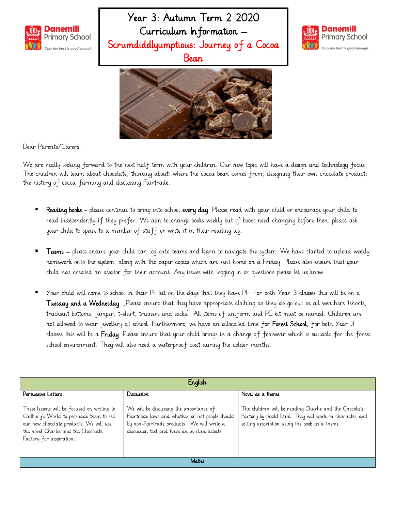

Year 3: Autumn Term 2 2020 Curriculum Information – Scrumdiddlyumptious: Journey of a Cocoa Bean





Dear Parents/Carers,

We are really looking forward to the next half term with your children. Our new topic will have a design and technology focus. The children will learn about chocolate, thinking about: where the cocoa bean comes from; designing their own chocolate product; the history of cocoa farming and discussing Fairtrade.

- Reading books please continue to bring into school every day. Please read with your child or encourage your child to read independently if they prefer. We aim to change books weekly but if books need changing before then, please ask your child to speak to a member of staff or write it in their reading log.
- Teams please ensure your child can log onto teams and learn to navigate the system. We have started to upload weekly homework onto the system, along with the paper copies which are sent home on a Friday. Please also ensure that your child has created an avator for their account. Any issues with logging in or questions please let us know.
- Your child will come to school in their PE kit on the days that they have PE. For both Year 3 classes this will be on a Tuesday and a Wednesday. Please ensure that they have appropriate clothing as they do go out in all weathers (shorts, tracksuit bottoms, jumper, t-shirt, trainers and socks). All items of uniform and PE kit must be named. Children are not allowed to wear jewellery at school. Furthermore, we have an allocated time for Forest School, for both Year 3 classes this will be a Friday. Please ensure that your child brings in a change of footwear which is suitable for the forest school environment. They will also need a waterproof coat during the colder months.

| English                                                                                                                                                                                               |                                                                                                                                                                                          |                                                                                                                                                                    |  |
|-------------------------------------------------------------------------------------------------------------------------------------------------------------------------------------------------------|------------------------------------------------------------------------------------------------------------------------------------------------------------------------------------------|--------------------------------------------------------------------------------------------------------------------------------------------------------------------|--|
| Persuasive Letters                                                                                                                                                                                    | Discussion                                                                                                                                                                               | Novel as a theme                                                                                                                                                   |  |
| These lessons will be focused on writing to<br>Cadbury's World to persuade them to sell<br>our new chocolate products. We will use<br>the novel Charlie and the Chocolate<br>Factory for inspiration. | We will be discussing the importance of<br>Fairtrade laws and whether or not people should<br>by non-Fairtrade products. We will write a<br>discussion text and have an in-class debate. | The children will be reading Charlie and the Chocolate<br>Factory by Roald Dahl. They will work on character and<br>setting description using the book as a theme. |  |
| Maths                                                                                                                                                                                                 |                                                                                                                                                                                          |                                                                                                                                                                    |  |